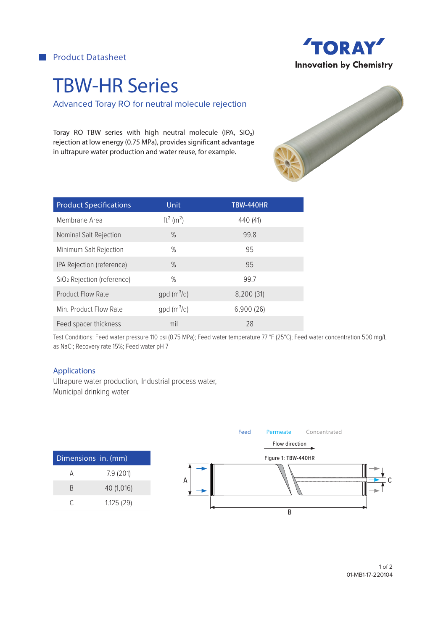**Product Datasheet** 



# TBW-HR Series

Advanced Toray RO for neutral molecule rejection

Toray RO TBW series with high neutral molecule (IPA, SiO₂) rejection at low energy (0.75 MPa), provides significant advantage in ultrapure water production and water reuse, for example.

| <b>Product Specifications</b>          | Unit                      | <b>TBW-440HR</b> |
|----------------------------------------|---------------------------|------------------|
| Membrane Area                          | $ft^2$ (m <sup>2</sup> )  | 440 (41)         |
| Nominal Salt Rejection                 | $\%$                      | 99.8             |
| Minimum Salt Rejection                 | $\%$                      | 95               |
| IPA Rejection (reference)              | $\%$                      | 95               |
| SiO <sub>2</sub> Rejection (reference) | $\%$                      | 99.7             |
| <b>Product Flow Rate</b>               | $qpd$ (m <sup>3</sup> /d) | 8,200 (31)       |
| Min. Product Flow Rate                 | $qpd$ (m <sup>3</sup> /d) | 6,900(26)        |
| Feed spacer thickness                  | mil                       | 28               |

Test Conditions: Feed water pressure 110 psi (0.75 MPa); Feed water temperature 77 °F (25°C); Feed water concentration 500 mg/L as NaCl; Recovery rate 15%; Feed water pH 7

#### Applications

Ultrapure water production, Industrial process water, Municipal drinking water



1 of 2 01-MB1-17-220104